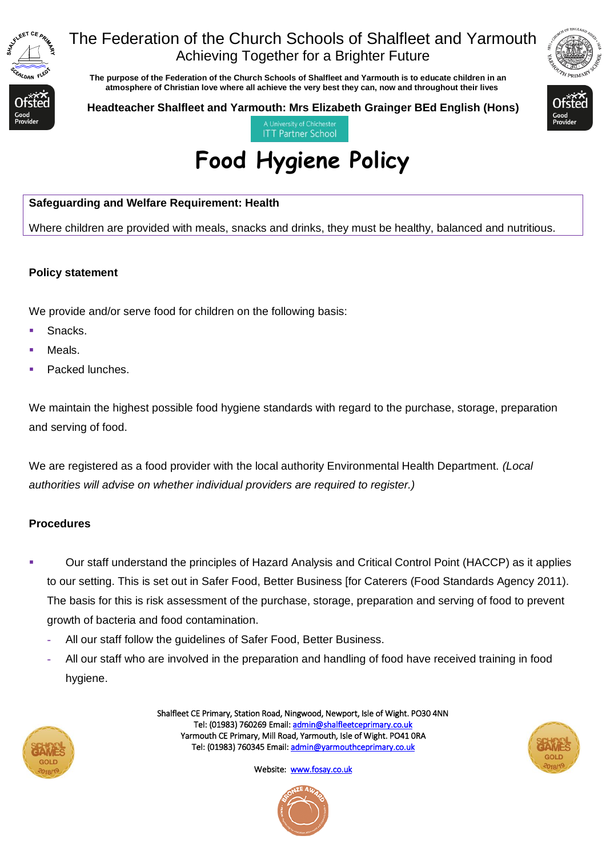

# The Federation of the Church Schools of Shalfleet and Yarmouth Achieving Together for a Brighter Future

 **The purpose of the Federation of the Church Schools of Shalfleet and Yarmouth is to educate children in an atmosphere of Christian love where all achieve the very best they can, now and throughout their lives** 



**Headteacher Shalfleet and Yarmouth: Mrs Elizabeth Grainger BEd English (Hons)**



**ITT Partner School** 

# **Food Hygiene Policy**

### **Safeguarding and Welfare Requirement: Health**

Where children are provided with meals, snacks and drinks, they must be healthy, balanced and nutritious.

#### **Policy statement**

We provide and/or serve food for children on the following basis:

- Snacks.
- Meals.
- Packed lunches.

We maintain the highest possible food hygiene standards with regard to the purchase, storage, preparation and serving of food.

We are registered as a food provider with the local authority Environmental Health Department. *(Local authorities will advise on whether individual providers are required to register.)*

#### **Procedures**

- Our staff understand the principles of Hazard Analysis and Critical Control Point (HACCP) as it applies to our setting. This is set out in Safer Food, Better Business [for Caterers (Food Standards Agency 2011). The basis for this is risk assessment of the purchase, storage, preparation and serving of food to prevent growth of bacteria and food contamination.
	- **-** All our staff follow the guidelines of Safer Food, Better Business.
	- **-** All our staff who are involved in the preparation and handling of food have received training in food hygiene.



Shalfleet CE Primary, Station Road, Ningwood, Newport, Isle of Wight. PO30 4NN Tel: (01983) 760269 Email[: admin@shalfleetceprimary.co.uk](mailto:admin@shalfleetceprimary.co.uk)  Yarmouth CE Primary, Mill Road, Yarmouth, Isle of Wight. PO41 0RA Tel: (01983) 760345 Email: admin@yarmouthceprimary.co.uk



Website: www.fosay.co.uk

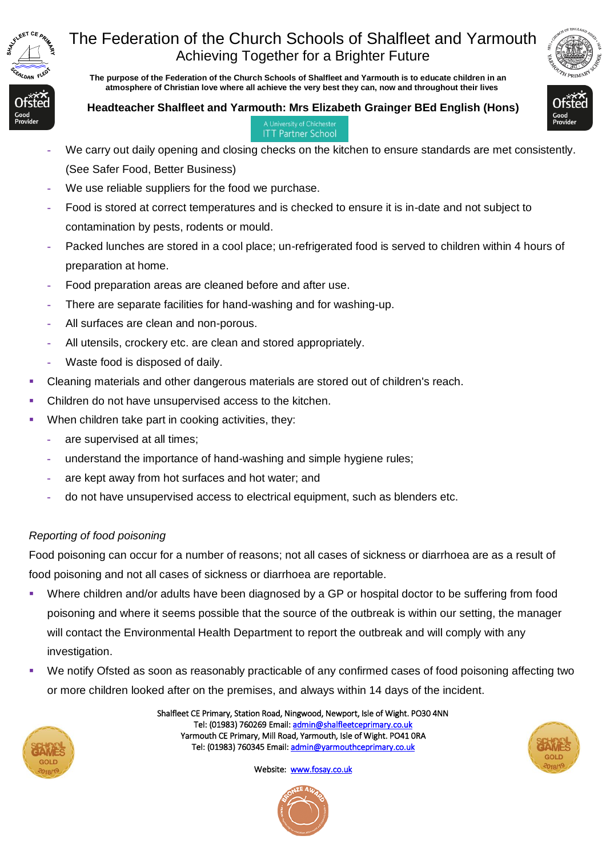

# The Federation of the Church Schools of Shalfleet and Yarmouth Achieving Together for a Brighter Future

 **The purpose of the Federation of the Church Schools of Shalfleet and Yarmouth is to educate children in an atmosphere of Christian love where all achieve the very best they can, now and throughout their lives** 





**ITT Partner School** 

- **-** We carry out daily opening and closing checks on the kitchen to ensure standards are met consistently. (See Safer Food, Better Business)
- **-** We use reliable suppliers for the food we purchase.
- **-** Food is stored at correct temperatures and is checked to ensure it is in-date and not subject to contamination by pests, rodents or mould.
- **-** Packed lunches are stored in a cool place; un-refrigerated food is served to children within 4 hours of preparation at home.
- **-** Food preparation areas are cleaned before and after use.
- **-** There are separate facilities for hand-washing and for washing-up.
- **-** All surfaces are clean and non-porous.
- **-** All utensils, crockery etc. are clean and stored appropriately.
- **-** Waste food is disposed of daily.
- Cleaning materials and other dangerous materials are stored out of children's reach.
- Children do not have unsupervised access to the kitchen.
- When children take part in cooking activities, they:
	- **-** are supervised at all times;
	- **-** understand the importance of hand-washing and simple hygiene rules;
	- **-** are kept away from hot surfaces and hot water; and
	- **-** do not have unsupervised access to electrical equipment, such as blenders etc.

## *Reporting of food poisoning*

Food poisoning can occur for a number of reasons; not all cases of sickness or diarrhoea are as a result of food poisoning and not all cases of sickness or diarrhoea are reportable.

- Where children and/or adults have been diagnosed by a GP or hospital doctor to be suffering from food poisoning and where it seems possible that the source of the outbreak is within our setting, the manager will contact the Environmental Health Department to report the outbreak and will comply with any investigation.
- We notify Ofsted as soon as reasonably practicable of any confirmed cases of food poisoning affecting two or more children looked after on the premises, and always within 14 days of the incident.



Shalfleet CE Primary, Station Road, Ningwood, Newport, Isle of Wight. PO30 4NN Tel: (01983) 760269 Email[: admin@shalfleetceprimary.co.uk](mailto:admin@shalfleetceprimary.co.uk)  Yarmouth CE Primary, Mill Road, Yarmouth, Isle of Wight. PO41 0RA Tel: (01983) 760345 Email: admin@yarmouthceprimary.co.uk



Website: [www.fosay.co.uk](http://www.fosay.co.uk/)